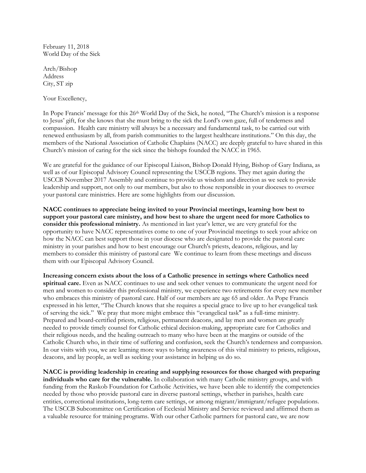February 11, 2018 World Day of the Sick

Arch/Bishop Address City, ST zip

Your Excellency,

In Pope Francis' message for this 26th World Day of the Sick, he noted, "The Church's mission is a response to Jesus' gift, for she knows that she must bring to the sick the Lord's own gaze, full of tenderness and compassion. Health care ministry will always be a necessary and fundamental task, to be carried out with renewed enthusiasm by all, from parish communities to the largest healthcare institutions." On this day, the members of the National Association of Catholic Chaplains (NACC) are deeply grateful to have shared in this Church's mission of caring for the sick since the bishops founded the NACC in 1965.

We are grateful for the guidance of our Episcopal Liaison, Bishop Donald Hying, Bishop of Gary Indiana, as well as of our Episcopal Advisory Council representing the USCCB regions. They met again during the USCCB November 2017 Assembly and continue to provide us wisdom and direction as we seek to provide leadership and support, not only to our members, but also to those responsible in your dioceses to oversee your pastoral care ministries. Here are some highlights from our discussion.

NACC continues to appreciate being invited to your Provincial meetings, learning how best to support your pastoral care ministry, and how best to share the urgent need for more Catholics to consider this professional ministry. As mentioned in last year's letter, we are very grateful for the opportunity to have NACC representatives come to one of your Provincial meetings to seek your advice on how the NACC can best support those in your diocese who are designated to provide the pastoral care ministry in your parishes and how to best encourage our Church's priests, deacons, religious, and lay members to consider this ministry of pastoral care We continue to learn from these meetings and discuss them with our Episcopal Advisory Council.

Increasing concern exists about the loss of a Catholic presence in settings where Catholics need spiritual care. Even as NACC continues to use and seek other venues to communicate the urgent need for men and women to consider this professional ministry, we experience two retirements for every new member who embraces this ministry of pastoral care. Half of our members are age 65 and older. As Pope Francis expressed in his letter, "The Church knows that she requires a special grace to live up to her evangelical task of serving the sick." We pray that more might embrace this "evangelical task" as a full-time ministry. Prepared and board-certified priests, religious, permanent deacons, and lay men and women are greatly needed to provide timely counsel for Catholic ethical decision-making, appropriate care for Catholics and their religious needs, and the healing outreach to many who have been at the margins or outside of the Catholic Church who, in their time of suffering and confusion, seek the Church's tenderness and compassion. In our visits with you, we are learning more ways to bring awareness of this vital ministry to priests, religious, deacons, and lay people, as well as seeking your assistance in helping us do so.

NACC is providing leadership in creating and supplying resources for those charged with preparing individuals who care for the vulnerable. In collaboration with many Catholic ministry groups, and with funding from the Raskob Foundation for Catholic Activities, we have been able to identify the competencies needed by those who provide pastoral care in diverse pastoral settings, whether in parishes, health care entities, correctional institutions, long-term care settings, or among migrant/immigrant/refugee populations. The USCCB Subcommittee on Certification of Ecclesial Ministry and Service reviewed and affirmed them as a valuable resource for training programs. With our other Catholic partners for pastoral care, we are now